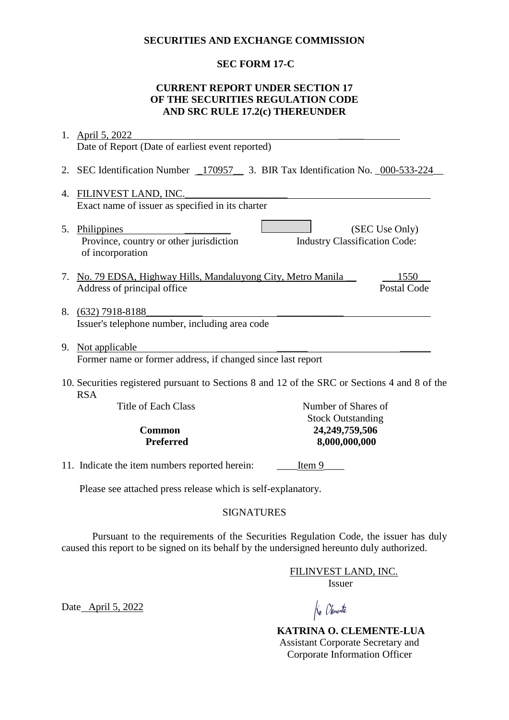### **SECURITIES AND EXCHANGE COMMISSION**

## **SEC FORM 17-C**

## **CURRENT REPORT UNDER SECTION 17 OF THE SECURITIES REGULATION CODE AND SRC RULE 17.2(c) THEREUNDER**

|                                                                                                             | 1. April 5, 2022                                                                 |                                            |                    |  |
|-------------------------------------------------------------------------------------------------------------|----------------------------------------------------------------------------------|--------------------------------------------|--------------------|--|
|                                                                                                             | Date of Report (Date of earliest event reported)                                 |                                            |                    |  |
|                                                                                                             | 2. SEC Identification Number _170957_ 3. BIR Tax Identification No. _000-533-224 |                                            |                    |  |
| 4.                                                                                                          | FILINVEST LAND, INC.                                                             |                                            |                    |  |
|                                                                                                             | Exact name of issuer as specified in its charter                                 |                                            |                    |  |
|                                                                                                             | 5. Philippines<br>Province, country or other jurisdiction<br>of incorporation    | <b>Industry Classification Code:</b>       | (SEC Use Only)     |  |
|                                                                                                             | 7. No. 79 EDSA, Highway Hills, Mandaluyong City, Metro Manila                    |                                            | 1550               |  |
|                                                                                                             | Address of principal office                                                      |                                            | <b>Postal Code</b> |  |
|                                                                                                             | 8. (632) 7918-8188<br>Issuer's telephone number, including area code             |                                            |                    |  |
|                                                                                                             | 9. Not applicable                                                                |                                            |                    |  |
|                                                                                                             | Former name or former address, if changed since last report                      |                                            |                    |  |
| 10. Securities registered pursuant to Sections 8 and 12 of the SRC or Sections 4 and 8 of the<br><b>RSA</b> |                                                                                  |                                            |                    |  |
|                                                                                                             | <b>Title of Each Class</b>                                                       | Number of Shares of                        |                    |  |
|                                                                                                             | <b>Common</b>                                                                    | <b>Stock Outstanding</b><br>24,249,759,506 |                    |  |
| <b>Preferred</b>                                                                                            |                                                                                  | 8,000,000,000                              |                    |  |
|                                                                                                             |                                                                                  |                                            |                    |  |
|                                                                                                             | 11. Indicate the item numbers reported herein:                                   | Item 9                                     |                    |  |
|                                                                                                             | Please see attached press release which is self-explanatory.                     |                                            |                    |  |

## SIGNATURES

Pursuant to the requirements of the Securities Regulation Code, the issuer has duly caused this report to be signed on its behalf by the undersigned hereunto duly authorized.

> FILINVEST LAND, INC. Issuer

Date April 5, 2022

Ko Olemente

 **KATRINA O. CLEMENTE-LUA** Assistant Corporate Secretary and Corporate Information Officer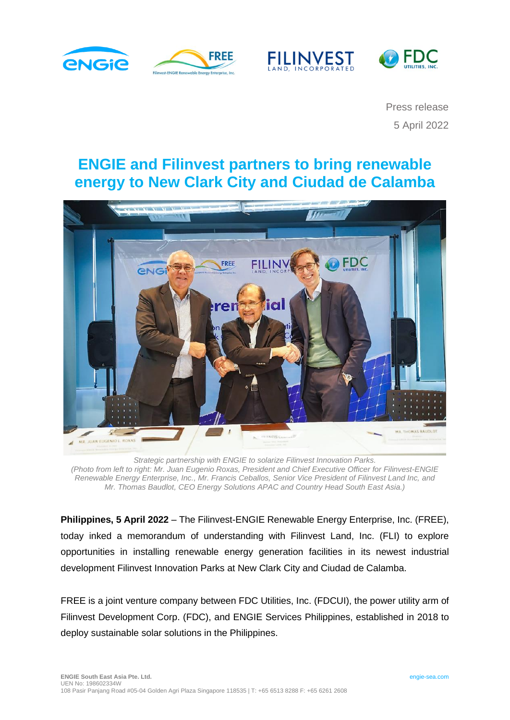







Press release 5 April 2022

# **ENGIE and Filinvest partners to bring renewable energy to New Clark City and Ciudad de Calamba**



*Strategic partnership with ENGIE to solarize Filinvest Innovation Parks. (Photo from left to right: Mr. Juan Eugenio Roxas, President and Chief Executive Officer for Filinvest-ENGIE Renewable Energy Enterprise, Inc., Mr. Francis Ceballos, Senior Vice President of Filinvest Land Inc, and Mr. Thomas Baudlot, CEO Energy Solutions APAC and Country Head South East Asia.)*

**Philippines, 5 April 2022** – The Filinvest-ENGIE Renewable Energy Enterprise, Inc. (FREE), today inked a memorandum of understanding with Filinvest Land, Inc. (FLI) to explore opportunities in installing renewable energy generation facilities in its newest industrial development Filinvest Innovation Parks at New Clark City and Ciudad de Calamba.

FREE is a joint venture company between FDC Utilities, Inc. (FDCUI), the power utility arm of Filinvest Development Corp. (FDC), and ENGIE Services Philippines, established in 2018 to deploy sustainable solar solutions in the Philippines.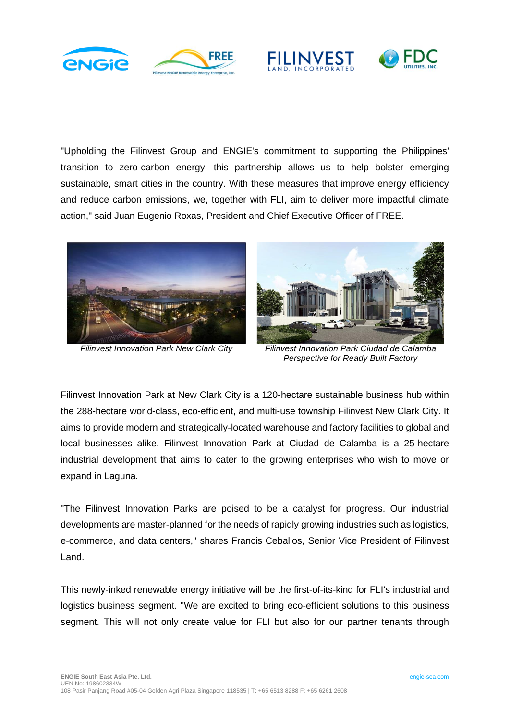





"Upholding the Filinvest Group and ENGIE's commitment to supporting the Philippines' transition to zero-carbon energy, this partnership allows us to help bolster emerging sustainable, smart cities in the country. With these measures that improve energy efficiency and reduce carbon emissions, we, together with FLI, aim to deliver more impactful climate action," said Juan Eugenio Roxas, President and Chief Executive Officer of FREE.





*Filinvest Innovation Park New Clark City Filinvest Innovation Park Ciudad de Calamba Perspective for Ready Built Factory*

Filinvest Innovation Park at New Clark City is a 120-hectare sustainable business hub within the 288-hectare world-class, eco-efficient, and multi-use township Filinvest New Clark City. It aims to provide modern and strategically-located warehouse and factory facilities to global and local businesses alike. Filinvest Innovation Park at Ciudad de Calamba is a 25-hectare industrial development that aims to cater to the growing enterprises who wish to move or expand in Laguna.

"The Filinvest Innovation Parks are poised to be a catalyst for progress. Our industrial developments are master-planned for the needs of rapidly growing industries such as logistics, e-commerce, and data centers," shares Francis Ceballos, Senior Vice President of Filinvest Land.

This newly-inked renewable energy initiative will be the first-of-its-kind for FLI's industrial and logistics business segment. "We are excited to bring eco-efficient solutions to this business segment. This will not only create value for FLI but also for our partner tenants through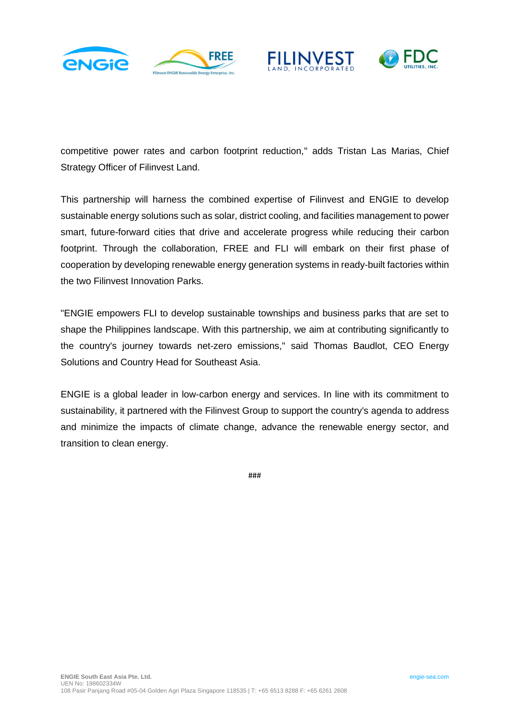







competitive power rates and carbon footprint reduction," adds Tristan Las Marias, Chief Strategy Officer of Filinvest Land.

This partnership will harness the combined expertise of Filinvest and ENGIE to develop sustainable energy solutions such as solar, district cooling, and facilities management to power smart, future-forward cities that drive and accelerate progress while reducing their carbon footprint. Through the collaboration, FREE and FLI will embark on their first phase of cooperation by developing renewable energy generation systems in ready-built factories within the two Filinvest Innovation Parks.

"ENGIE empowers FLI to develop sustainable townships and business parks that are set to shape the Philippines landscape. With this partnership, we aim at contributing significantly to the country's journey towards net-zero emissions," said Thomas Baudlot, CEO Energy Solutions and Country Head for Southeast Asia.

ENGIE is a global leader in low-carbon energy and services. In line with its commitment to sustainability, it partnered with the Filinvest Group to support the country's agenda to address and minimize the impacts of climate change, advance the renewable energy sector, and transition to clean energy.

###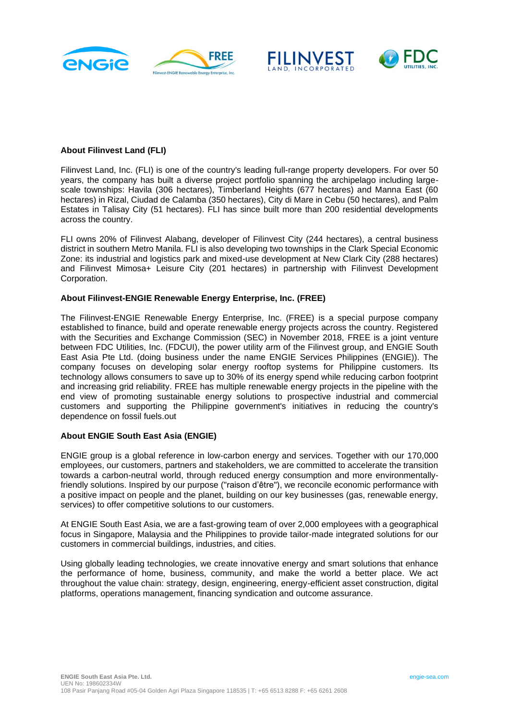





### **About Filinvest Land (FLI)**

Filinvest Land, Inc. (FLI) is one of the country's leading full-range property developers. For over 50 years, the company has built a diverse project portfolio spanning the archipelago including largescale townships: Havila (306 hectares), Timberland Heights (677 hectares) and Manna East (60 hectares) in Rizal, Ciudad de Calamba (350 hectares), City di Mare in Cebu (50 hectares), and Palm Estates in Talisay City (51 hectares). FLI has since built more than 200 residential developments across the country.

FLI owns 20% of Filinvest Alabang, developer of Filinvest City (244 hectares), a central business district in southern Metro Manila. FLI is also developing two townships in the Clark Special Economic Zone: its industrial and logistics park and mixed-use development at New Clark City (288 hectares) and Filinvest Mimosa+ Leisure City (201 hectares) in partnership with Filinvest Development Corporation.

#### **About Filinvest-ENGIE Renewable Energy Enterprise, Inc. (FREE)**

The Filinvest-ENGIE Renewable Energy Enterprise, Inc. (FREE) is a special purpose company established to finance, build and operate renewable energy projects across the country. Registered with the Securities and Exchange Commission (SEC) in November 2018, FREE is a joint venture between FDC Utilities, Inc. (FDCUI), the power utility arm of the Filinvest group, and ENGIE South East Asia Pte Ltd. (doing business under the name ENGIE Services Philippines (ENGIE)). The company focuses on developing solar energy rooftop systems for Philippine customers. Its technology allows consumers to save up to 30% of its energy spend while reducing carbon footprint and increasing grid reliability. FREE has multiple renewable energy projects in the pipeline with the end view of promoting sustainable energy solutions to prospective industrial and commercial customers and supporting the Philippine government's initiatives in reducing the country's dependence on fossil fuels.out

### **About ENGIE South East Asia (ENGIE)**

ENGIE group is a global reference in low-carbon energy and services. Together with our 170,000 employees, our customers, partners and stakeholders, we are committed to accelerate the transition towards a carbon-neutral world, through reduced energy consumption and more environmentallyfriendly solutions. Inspired by our purpose ("raison d'être"), we reconcile economic performance with a positive impact on people and the planet, building on our key businesses (gas, renewable energy, services) to offer competitive solutions to our customers.

At ENGIE South East Asia, we are a fast-growing team of over 2,000 employees with a geographical focus in Singapore, Malaysia and the Philippines to provide tailor-made integrated solutions for our customers in commercial buildings, industries, and cities.

Using globally leading technologies, we create innovative energy and smart solutions that enhance the performance of home, business, community, and make the world a better place. We act throughout the value chain: strategy, design, engineering, energy-efficient asset construction, digital platforms, operations management, financing syndication and outcome assurance.